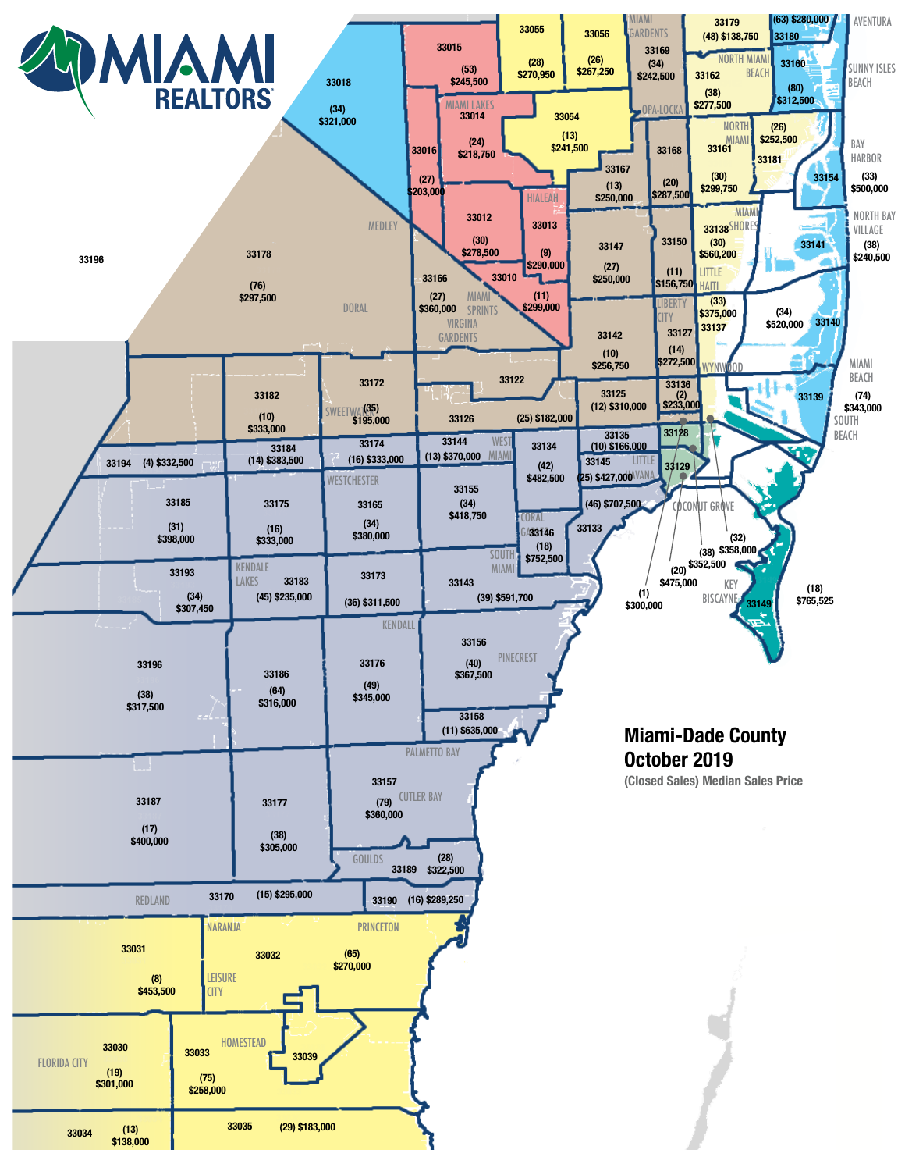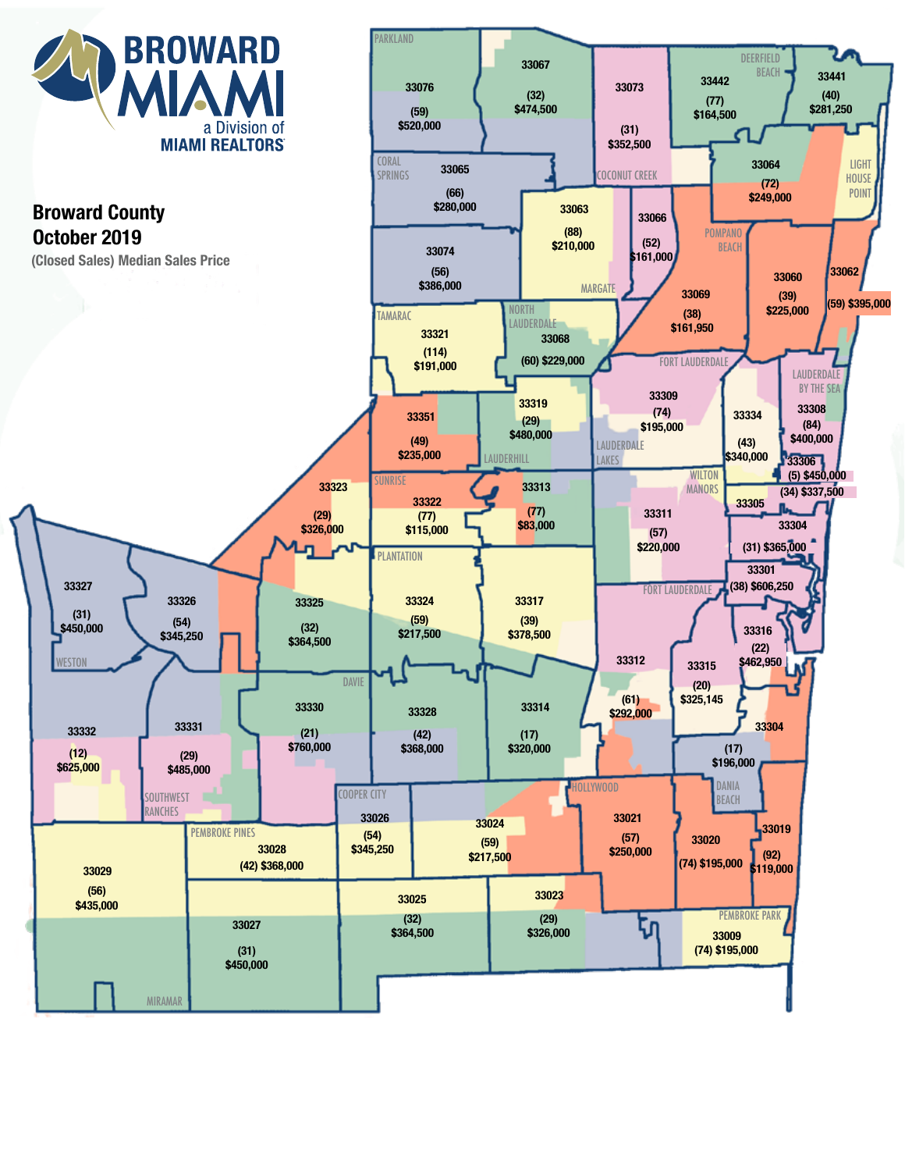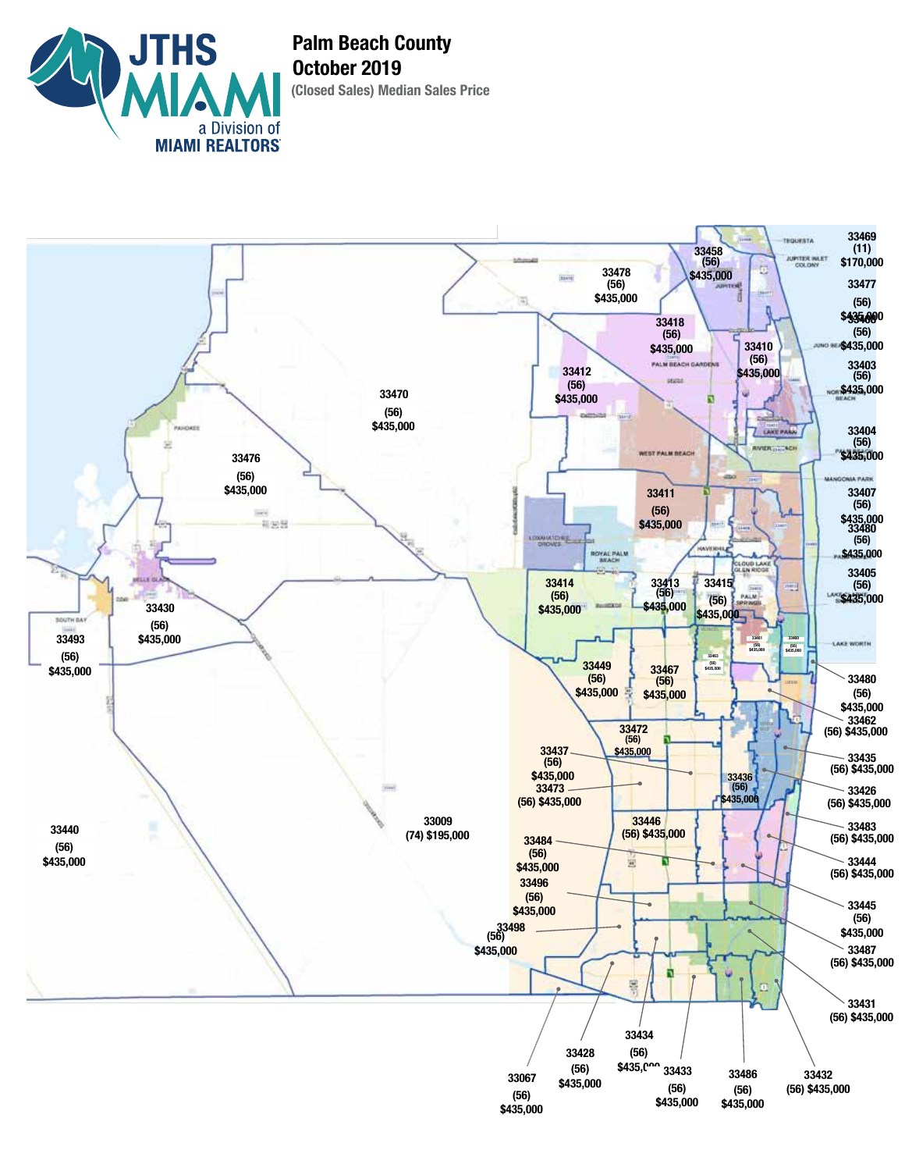

**(Closed Sales) Median Sales Price Palm Beach County October 2019**